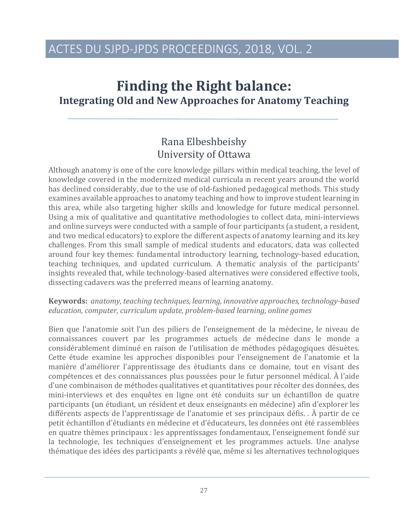# **Finding the Right balance: Integrating Old and New Approaches for Anatomy Teaching**

### Rana Elbeshbeishy University of Ottawa

Although anatomy is one of the core knowledge pillars within medical teaching, the level of knowledge covered in the modernized medical curricula in recent years around the world has declined considerably, due to the use of old-fashioned pedagogical methods. This study examines available approaches to anatomy teaching and how to improve student learning in this area, while also targeting higher skills and knowledge for future medical personnel. Using a mix of qualitative and quantitative methodologies to collect data, mini-interviews and online surveys were conducted with a sample of four participants (a student, a resident, and two medical educators) to explore the different aspects of anatomy learning and its key challenges. From this small sample of medical students and educators, data was collected around four key themes: fundamental introductory learning, technology-based education, teaching techniques, and updated curriculum. A thematic analysis of the participants' insights revealed that, while technology-based alternatives were considered effective tools, dissecting cadavers was the preferred means of learning anatomy.

#### **Keywords:** anatomy, teaching techniques, learning, innovative approaches, technology-based education, computer, curriculum update, problem-based learning, online games

Bien que l'anatomie soit l'un des piliers de l'enseignement de la médecine, le niveau de connaissances couvert par les programmes actuels de médecine dans le monde a considérablement diminué en raison de l'utilisation de méthodes pédagogiques désuètes. Cette étude examine les approches disponibles pour l'enseignement de l'anatomie et la manière d'améliorer l'apprentissage des étudiants dans ce domaine, tout en visant des compétences et des connaissances plus poussées pour le futur personnel médical. À l'aide d'une combinaison de méthodes qualitatives et quantitatives pour récolter des données, des mini-interviews et des enquêtes en ligne ont été conduits sur un échantillon de quatre participants (un étudiant, un résident et deux enseignants en médecine) afin d'explorer les différents aspects de l'apprentissage de l'anatomie et ses principaux défis.  $\hat{A}$  partir de ce petit échantillon d'étudiants en médecine et d'éducateurs, les données ont été rassemblées en quatre thèmes principaux : les apprentissages fondamentaux, l'enseignement fondé sur la technologie, les techniques d'enseignement et les programmes actuels. Une analyse thématique des idées des participants a révélé que, même si les alternatives technologiques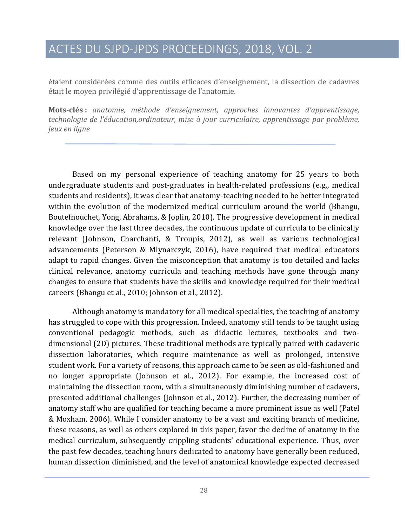étaient considérées comme des outils efficaces d'enseignement, la dissection de cadavres était le moyen privilégié d'apprentissage de l'anatomie.

**Mots-clés** : *anatomie, méthode d'enseignement, approches innovantes d'apprentissage,* technologie de l'éducation,ordinateur, mise à jour curriculaire, apprentissage par problème, *jeux en ligne*

Based on my personal experience of teaching anatomy for 25 years to both undergraduate students and post-graduates in health-related professions (e.g., medical students and residents), it was clear that anatomy-teaching needed to be better integrated within the evolution of the modernized medical curriculum around the world (Bhangu, Boutefnouchet, Yong, Abrahams, & Joplin, 2010). The progressive development in medical knowledge over the last three decades, the continuous update of curricula to be clinically relevant (Johnson, Charchanti, & Troupis, 2012), as well as various technological advancements (Peterson & Mlynarczyk, 2016), have required that medical educators adapt to rapid changes. Given the misconception that anatomy is too detailed and lacks clinical relevance, anatomy curricula and teaching methods have gone through many changes to ensure that students have the skills and knowledge required for their medical careers (Bhangu et al., 2010; Johnson et al., 2012).

Although anatomy is mandatory for all medical specialties, the teaching of anatomy has struggled to cope with this progression. Indeed, anatomy still tends to be taught using conventional pedagogic methods, such as didactic lectures, textbooks and twodimensional (2D) pictures. These traditional methods are typically paired with cadaveric dissection laboratories, which require maintenance as well as prolonged, intensive student work. For a variety of reasons, this approach came to be seen as old-fashioned and no longer appropriate (Johnson et al., 2012). For example, the increased cost of maintaining the dissection room, with a simultaneously diminishing number of cadavers, presented additional challenges (Johnson et al., 2012). Further, the decreasing number of anatomy staff who are qualified for teaching became a more prominent issue as well (Patel & Moxham, 2006). While I consider anatomy to be a vast and exciting branch of medicine, these reasons, as well as others explored in this paper, favor the decline of anatomy in the medical curriculum, subsequently crippling students' educational experience. Thus, over the past few decades, teaching hours dedicated to anatomy have generally been reduced, human dissection diminished, and the level of anatomical knowledge expected decreased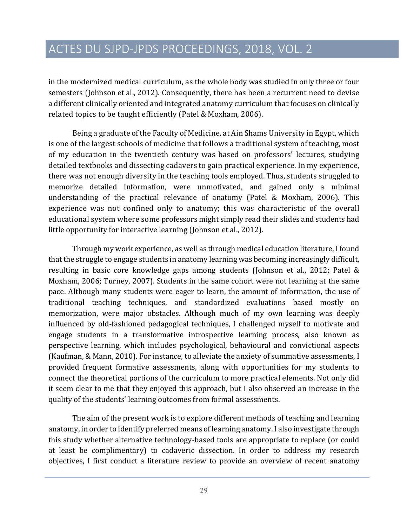in the modernized medical curriculum, as the whole body was studied in only three or four semesters (Johnson et al., 2012). Consequently, there has been a recurrent need to devise a different clinically oriented and integrated anatomy curriculum that focuses on clinically related topics to be taught efficiently (Patel & Moxham, 2006).

Being a graduate of the Faculty of Medicine, at Ain Shams University in Egypt, which is one of the largest schools of medicine that follows a traditional system of teaching, most of my education in the twentieth century was based on professors' lectures, studying detailed textbooks and dissecting cadavers to gain practical experience. In my experience, there was not enough diversity in the teaching tools employed. Thus, students struggled to memorize detailed information, were unmotivated, and gained only a minimal understanding of the practical relevance of anatomy (Patel & Moxham, 2006). This experience was not confined only to anatomy; this was characteristic of the overall educational system where some professors might simply read their slides and students had little opportunity for interactive learning (Johnson et al., 2012).

Through my work experience, as well as through medical education literature, I found that the struggle to engage students in anatomy learning was becoming increasingly difficult, resulting in basic core knowledge gaps among students (Johnson et al., 2012; Patel & Moxham, 2006; Turney, 2007). Students in the same cohort were not learning at the same pace. Although many students were eager to learn, the amount of information, the use of traditional teaching techniques, and standardized evaluations based mostly on memorization, were major obstacles. Although much of my own learning was deeply influenced by old-fashioned pedagogical techniques, I challenged myself to motivate and engage students in a transformative introspective learning process, also known as perspective learning, which includes psychological, behavioural and convictional aspects (Kaufman, & Mann, 2010). For instance, to alleviate the anxiety of summative assessments, I provided frequent formative assessments, along with opportunities for my students to connect the theoretical portions of the curriculum to more practical elements. Not only did it seem clear to me that they enjoyed this approach, but I also observed an increase in the quality of the students' learning outcomes from formal assessments.

The aim of the present work is to explore different methods of teaching and learning anatomy, in order to identify preferred means of learning anatomy. I also investigate through this study whether alternative technology-based tools are appropriate to replace (or could at least be complimentary) to cadaveric dissection. In order to address my research objectives, I first conduct a literature review to provide an overview of recent anatomy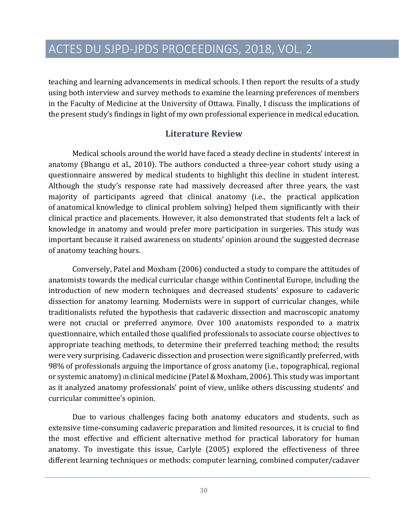teaching and learning advancements in medical schools. I then report the results of a study using both interview and survey methods to examine the learning preferences of members in the Faculty of Medicine at the University of Ottawa. Finally, I discuss the implications of the present study's findings in light of my own professional experience in medical education.

### **Literature Review**

Medical schools around the world have faced a steady decline in students' interest in anatomy (Bhangu et al., 2010). The authors conducted a three-year cohort study using a questionnaire answered by medical students to highlight this decline in student interest. Although the study's response rate had massively decreased after three years, the vast majority of participants agreed that clinical anatomy (i.e., the practical application of anatomical knowledge to clinical problem solving) helped them significantly with their clinical practice and placements. However, it also demonstrated that students felt a lack of knowledge in anatomy and would prefer more participation in surgeries. This study was important because it raised awareness on students' opinion around the suggested decrease of anatomy teaching hours.

Conversely, Patel and Moxham (2006) conducted a study to compare the attitudes of anatomists towards the medical curricular change within Continental Europe, including the introduction of new modern techniques and decreased students' exposure to cadaveric dissection for anatomy learning. Modernists were in support of curricular changes, while traditionalists refuted the hypothesis that cadaveric dissection and macroscopic anatomy were not crucial or preferred anymore. Over 100 anatomists responded to a matrix questionnaire, which entailed those qualified professionals to associate course objectives to appropriate teaching methods, to determine their preferred teaching method; the results were very surprising. Cadaveric dissection and prosection were significantly preferred, with 98% of professionals arguing the importance of gross anatomy (i.e., topographical, regional or systemic anatomy) in clinical medicine (Patel & Moxham, 2006). This study was important as it analyzed anatomy professionals' point of view, unlike others discussing students' and curricular committee's opinion.

Due to various challenges facing both anatomy educators and students, such as extensive time-consuming cadaveric preparation and limited resources, it is crucial to find the most effective and efficient alternative method for practical laboratory for human anatomy. To investigate this issue, Carlyle (2005) explored the effectiveness of three different learning techniques or methods: computer learning, combined computer/cadaver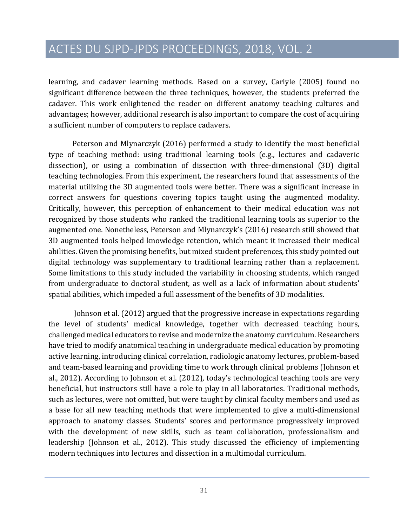learning, and cadaver learning methods. Based on a survey, Carlyle (2005) found no significant difference between the three techniques, however, the students preferred the cadaver. This work enlightened the reader on different anatomy teaching cultures and advantages; however, additional research is also important to compare the cost of acquiring a sufficient number of computers to replace cadavers.

Peterson and Mlynarczyk (2016) performed a study to identify the most beneficial type of teaching method: using traditional learning tools (e.g., lectures and cadaveric dissection), or using a combination of dissection with three-dimensional (3D) digital teaching technologies. From this experiment, the researchers found that assessments of the material utilizing the 3D augmented tools were better. There was a significant increase in correct answers for questions covering topics taught using the augmented modality. Critically, however, this perception of enhancement to their medical education was not recognized by those students who ranked the traditional learning tools as superior to the augmented one. Nonetheless, Peterson and Mlynarczyk's (2016) research still showed that 3D augmented tools helped knowledge retention, which meant it increased their medical abilities. Given the promising benefits, but mixed student preferences, this study pointed out digital technology was supplementary to traditional learning rather than a replacement. Some limitations to this study included the variability in choosing students, which ranged from undergraduate to doctoral student, as well as a lack of information about students' spatial abilities, which impeded a full assessment of the benefits of 3D modalities.

Johnson et al. (2012) argued that the progressive increase in expectations regarding the level of students' medical knowledge, together with decreased teaching hours, challenged medical educators to revise and modernize the anatomy curriculum. Researchers have tried to modify anatomical teaching in undergraduate medical education by promoting active learning, introducing clinical correlation, radiologic anatomy lectures, problem-based and team-based learning and providing time to work through clinical problems (Johnson et al., 2012). According to Johnson et al. (2012), today's technological teaching tools are very beneficial, but instructors still have a role to play in all laboratories. Traditional methods, such as lectures, were not omitted, but were taught by clinical faculty members and used as a base for all new teaching methods that were implemented to give a multi-dimensional approach to anatomy classes. Students' scores and performance progressively improved with the development of new skills, such as team collaboration, professionalism and leadership (Johnson et al., 2012). This study discussed the efficiency of implementing modern techniques into lectures and dissection in a multimodal curriculum.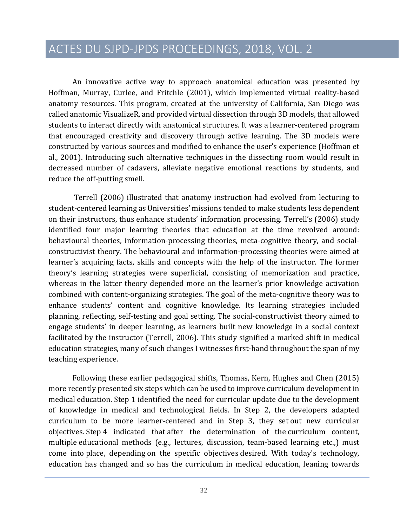An innovative active way to approach anatomical education was presented by Hoffman, Murray, Curlee, and Fritchle (2001), which implemented virtual reality-based anatomy resources. This program, created at the university of California, San Diego was called anatomic VisualizeR, and provided virtual dissection through 3D models, that allowed students to interact directly with anatomical structures. It was a learner-centered program that encouraged creativity and discovery through active learning. The 3D models were constructed by various sources and modified to enhance the user's experience (Hoffman et al., 2001). Introducing such alternative techniques in the dissecting room would result in decreased number of cadavers, alleviate negative emotional reactions by students, and reduce the off-putting smell.

Terrell (2006) illustrated that anatomy instruction had evolved from lecturing to student-centered learning as Universities' missions tended to make students less dependent on their instructors, thus enhance students' information processing. Terrell's (2006) study identified four major learning theories that education at the time revolved around: behavioural theories, information-processing theories, meta-cognitive theory, and socialconstructivist theory. The behavioural and information-processing theories were aimed at learner's acquiring facts, skills and concepts with the help of the instructor. The former theory's learning strategies were superficial, consisting of memorization and practice, whereas in the latter theory depended more on the learner's prior knowledge activation combined with content-organizing strategies. The goal of the meta-cognitive theory was to enhance students' content and cognitive knowledge. Its learning strategies included planning, reflecting, self-testing and goal setting. The social-constructivist theory aimed to engage students' in deeper learning, as learners built new knowledge in a social context facilitated by the instructor (Terrell, 2006). This study signified a marked shift in medical education strategies, many of such changes I witnesses first-hand throughout the span of my teaching experience.

Following these earlier pedagogical shifts, Thomas, Kern, Hughes and Chen (2015) more recently presented six steps which can be used to improve curriculum development in medical education. Step 1 identified the need for curricular update due to the development of knowledge in medical and technological fields. In Step 2, the developers adapted curriculum to be more learner-centered and in Step 3, they set out new curricular objectives. Step 4 indicated that after the determination of the curriculum content, multiple educational methods (e.g., lectures, discussion, team-based learning etc.,) must come into place, depending on the specific objectives desired. With today's technology, education has changed and so has the curriculum in medical education, leaning towards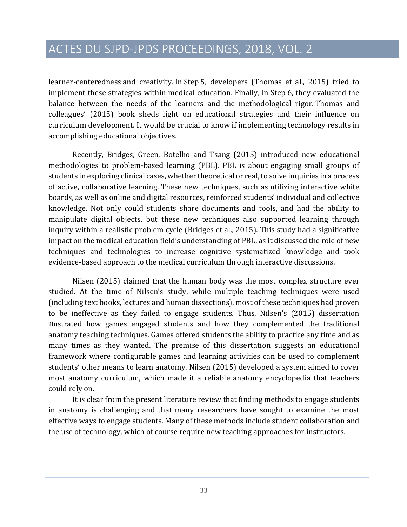learner-centeredness and creativity. In Step 5, developers (Thomas et al., 2015) tried to implement these strategies within medical education. Finally, in Step 6, they evaluated the balance between the needs of the learners and the methodological rigor. Thomas and colleagues' (2015) book sheds light on educational strategies and their influence on curriculum development. It would be crucial to know if implementing technology results in accomplishing educational objectives.

Recently, Bridges, Green, Botelho and Tsang (2015) introduced new educational methodologies to problem-based learning (PBL). PBL is about engaging small groups of students in exploring clinical cases, whether theoretical or real, to solve inquiries in a process of active, collaborative learning. These new techniques, such as utilizing interactive white boards, as well as online and digital resources, reinforced students' individual and collective knowledge. Not only could students share documents and tools, and had the ability to manipulate digital objects, but these new techniques also supported learning through inquiry within a realistic problem cycle (Bridges et al., 2015). This study had a significative impact on the medical education field's understanding of PBL, as it discussed the role of new techniques and technologies to increase cognitive systematized knowledge and took evidence-based approach to the medical curriculum through interactive discussions.

Nilsen  $(2015)$  claimed that the human body was the most complex structure ever studied. At the time of Nilsen's study, while multiple teaching techniques were used (including text books, lectures and human dissections), most of these techniques had proven to be ineffective as they failed to engage students. Thus, Nilsen's (2015) dissertation illustrated how games engaged students and how they complemented the traditional anatomy teaching techniques. Games offered students the ability to practice any time and as many times as they wanted. The premise of this dissertation suggests an educational framework where configurable games and learning activities can be used to complement students' other means to learn anatomy. Nilsen (2015) developed a system aimed to cover most anatomy curriculum, which made it a reliable anatomy encyclopedia that teachers could rely on.

It is clear from the present literature review that finding methods to engage students in anatomy is challenging and that many researchers have sought to examine the most effective ways to engage students. Many of these methods include student collaboration and the use of technology, which of course require new teaching approaches for instructors.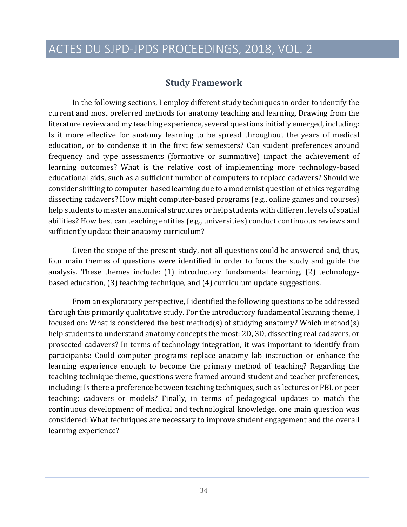### **Study Framework**

In the following sections, I employ different study techniques in order to identify the current and most preferred methods for anatomy teaching and learning. Drawing from the literature review and my teaching experience, several questions initially emerged, including: Is it more effective for anatomy learning to be spread throughout the years of medical education, or to condense it in the first few semesters? Can student preferences around frequency and type assessments (formative or summative) impact the achievement of learning outcomes? What is the relative cost of implementing more technology-based educational aids, such as a sufficient number of computers to replace cadavers? Should we consider shifting to computer-based learning due to a modernist question of ethics regarding dissecting cadavers? How might computer-based programs (e.g., online games and courses) help students to master anatomical structures or help students with different levels of spatial abilities? How best can teaching entities (e.g., universities) conduct continuous reviews and sufficiently update their anatomy curriculum?

Given the scope of the present study, not all questions could be answered and, thus, four main themes of questions were identified in order to focus the study and guide the analysis. These themes include: (1) introductory fundamental learning, (2) technologybased education,  $(3)$  teaching technique, and  $(4)$  curriculum update suggestions.

From an exploratory perspective, I identified the following questions to be addressed through this primarily qualitative study. For the introductory fundamental learning theme, I focused on: What is considered the best method(s) of studying anatomy? Which method(s) help students to understand anatomy concepts the most: 2D, 3D, dissecting real cadavers, or prosected cadavers? In terms of technology integration, it was important to identify from participants: Could computer programs replace anatomy lab instruction or enhance the learning experience enough to become the primary method of teaching? Regarding the teaching technique theme, questions were framed around student and teacher preferences, including: Is there a preference between teaching techniques, such as lectures or PBL or peer teaching; cadavers or models? Finally, in terms of pedagogical updates to match the continuous development of medical and technological knowledge, one main question was considered: What techniques are necessary to improve student engagement and the overall learning experience?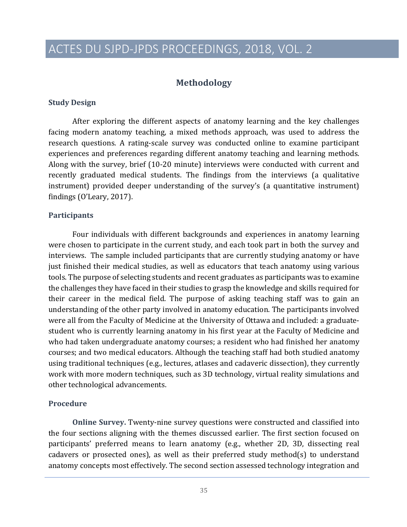### **Methodology**

#### **Study Design**

After exploring the different aspects of anatomy learning and the key challenges facing modern anatomy teaching, a mixed methods approach, was used to address the research questions. A rating-scale survey was conducted online to examine participant experiences and preferences regarding different anatomy teaching and learning methods. Along with the survey, brief (10-20 minute) interviews were conducted with current and recently graduated medical students. The findings from the interviews (a qualitative instrument) provided deeper understanding of the survey's (a quantitative instrument) findings  $(0')$ Leary, 2017).

#### **Participants**

Four individuals with different backgrounds and experiences in anatomy learning were chosen to participate in the current study, and each took part in both the survey and interviews. The sample included participants that are currently studying anatomy or have just finished their medical studies, as well as educators that teach anatomy using various tools. The purpose of selecting students and recent graduates as participants was to examine the challenges they have faced in their studies to grasp the knowledge and skills required for their career in the medical field. The purpose of asking teaching staff was to gain an understanding of the other party involved in anatomy education. The participants involved were all from the Faculty of Medicine at the University of Ottawa and included: a graduatestudent who is currently learning anatomy in his first year at the Faculty of Medicine and who had taken undergraduate anatomy courses; a resident who had finished her anatomy courses; and two medical educators. Although the teaching staff had both studied anatomy using traditional techniques (e.g., lectures, atlases and cadaveric dissection), they currently work with more modern techniques, such as 3D technology, virtual reality simulations and other technological advancements.

#### **Procedure**

**Online Survey.** Twenty-nine survey questions were constructed and classified into the four sections aligning with the themes discussed earlier. The first section focused on participants' preferred means to learn anatomy (e.g., whether 2D, 3D, dissecting real cadavers or prosected ones), as well as their preferred study method(s) to understand anatomy concepts most effectively. The second section assessed technology integration and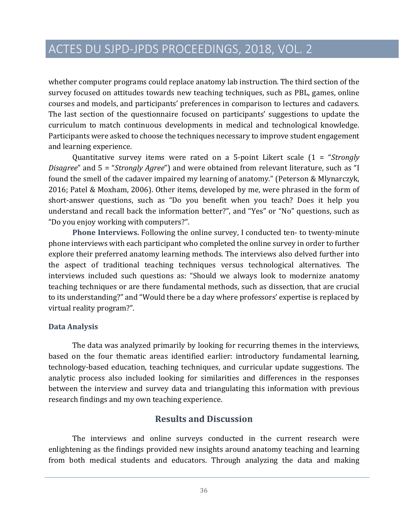whether computer programs could replace anatomy lab instruction. The third section of the survey focused on attitudes towards new teaching techniques, such as PBL, games, online courses and models, and participants' preferences in comparison to lectures and cadavers. The last section of the questionnaire focused on participants' suggestions to update the curriculum to match continuous developments in medical and technological knowledge. Participants were asked to choose the techniques necessary to improve student engagement and learning experience.

Quantitative survey items were rated on a 5-point Likert scale  $(1 -$  "*Strongly Disagree*" and 5 = "*Strongly Agree*") and were obtained from relevant literature, such as "I found the smell of the cadaver impaired my learning of anatomy." (Peterson & Mlynarczyk, 2016; Patel & Moxham, 2006). Other items, developed by me, were phrased in the form of short-answer questions, such as "Do you benefit when you teach? Does it help you understand and recall back the information better?", and "Yes" or "No" questions, such as "Do you enjoy working with computers?".

**Phone Interviews.** Following the online survey, I conducted ten- to twenty-minute phone interviews with each participant who completed the online survey in order to further explore their preferred anatomy learning methods. The interviews also delved further into the aspect of traditional teaching techniques versus technological alternatives. The interviews included such questions as: "Should we always look to modernize anatomy teaching techniques or are there fundamental methods, such as dissection, that are crucial to its understanding?" and "Would there be a day where professors' expertise is replaced by virtual reality program?".

#### **Data Analysis**

The data was analyzed primarily by looking for recurring themes in the interviews, based on the four thematic areas identified earlier: introductory fundamental learning, technology-based education, teaching techniques, and curricular update suggestions. The analytic process also included looking for similarities and differences in the responses between the interview and survey data and triangulating this information with previous research findings and my own teaching experience.

### **Results and Discussion**

The interviews and online surveys conducted in the current research were enlightening as the findings provided new insights around anatomy teaching and learning from both medical students and educators. Through analyzing the data and making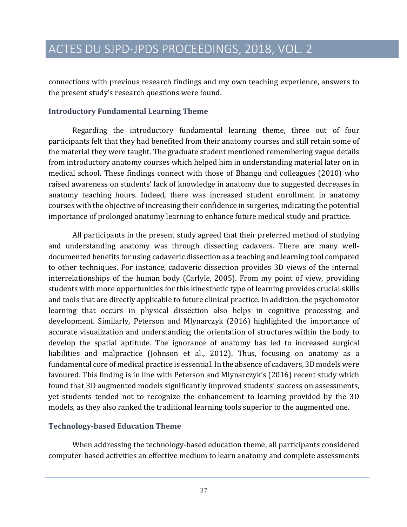connections with previous research findings and my own teaching experience, answers to the present study's research questions were found.

#### **Introductory Fundamental Learning Theme**

Regarding the introductory fundamental learning theme, three out of four participants felt that they had benefited from their anatomy courses and still retain some of the material they were taught. The graduate student mentioned remembering vague details from introductory anatomy courses which helped him in understanding material later on in medical school. These findings connect with those of Bhangu and colleagues (2010) who raised awareness on students' lack of knowledge in anatomy due to suggested decreases in anatomy teaching hours. Indeed, there was increased student enrollment in anatomy courses with the objective of increasing their confidence in surgeries, indicating the potential importance of prolonged anatomy learning to enhance future medical study and practice.

All participants in the present study agreed that their preferred method of studying and understanding anatomy was through dissecting cadavers. There are many welldocumented benefits for using cadaveric dissection as a teaching and learning tool compared to other techniques. For instance, cadaveric dissection provides 3D views of the internal interrelationships of the human body (Carlyle, 2005). From my point of view, providing students with more opportunities for this kinesthetic type of learning provides crucial skills and tools that are directly applicable to future clinical practice. In addition, the psychomotor learning that occurs in physical dissection also helps in cognitive processing and development. Similarly, Peterson and Mlynarczyk (2016) highlighted the importance of accurate visualization and understanding the orientation of structures within the body to develop the spatial aptitude. The ignorance of anatomy has led to increased surgical liabilities and malpractice (Johnson et al., 2012). Thus, focusing on anatomy as a fundamental core of medical practice is essential. In the absence of cadavers, 3D models were favoured. This finding is in line with Peterson and Mlynarczyk's (2016) recent study which found that 3D augmented models significantly improved students' success on assessments, yet students tended not to recognize the enhancement to learning provided by the 3D models, as they also ranked the traditional learning tools superior to the augmented one.

### **Technology-based Education Theme**

When addressing the technology-based education theme, all participants considered computer-based activities an effective medium to learn anatomy and complete assessments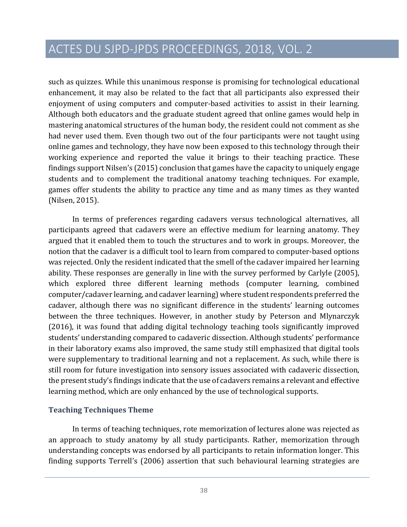such as quizzes. While this unanimous response is promising for technological educational enhancement, it may also be related to the fact that all participants also expressed their enjoyment of using computers and computer-based activities to assist in their learning. Although both educators and the graduate student agreed that online games would help in mastering anatomical structures of the human body, the resident could not comment as she had never used them. Even though two out of the four participants were not taught using online games and technology, they have now been exposed to this technology through their working experience and reported the value it brings to their teaching practice. These findings support Nilsen's (2015) conclusion that games have the capacity to uniquely engage students and to complement the traditional anatomy teaching techniques. For example, games offer students the ability to practice any time and as many times as they wanted (Nilsen, 2015).

In terms of preferences regarding cadavers versus technological alternatives, all participants agreed that cadavers were an effective medium for learning anatomy. They argued that it enabled them to touch the structures and to work in groups. Moreover, the notion that the cadaver is a difficult tool to learn from compared to computer-based options was rejected. Only the resident indicated that the smell of the cadaver impaired her learning ability. These responses are generally in line with the survey performed by Carlyle (2005), which explored three different learning methods (computer learning, combined computer/cadaver learning, and cadaver learning) where student respondents preferred the cadaver, although there was no significant difference in the students' learning outcomes between the three techniques. However, in another study by Peterson and Mlynarczyk  $(2016)$ , it was found that adding digital technology teaching tools significantly improved students' understanding compared to cadaveric dissection. Although students' performance in their laboratory exams also improved, the same study still emphasized that digital tools were supplementary to traditional learning and not a replacement. As such, while there is still room for future investigation into sensory issues associated with cadaveric dissection, the present study's findings indicate that the use of cadavers remains a relevant and effective learning method, which are only enhanced by the use of technological supports.

#### **Teaching Techniques Theme**

In terms of teaching techniques, rote memorization of lectures alone was rejected as an approach to study anatomy by all study participants. Rather, memorization through understanding concepts was endorsed by all participants to retain information longer. This finding supports Terrell's (2006) assertion that such behavioural learning strategies are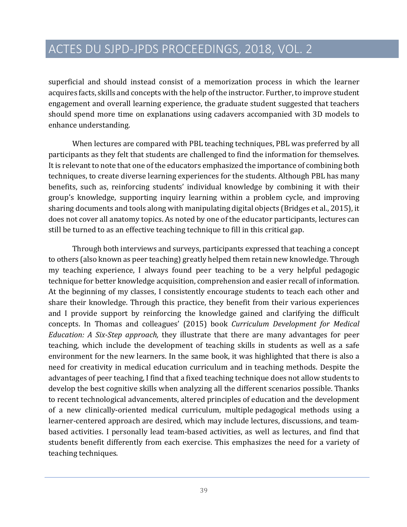superficial and should instead consist of a memorization process in which the learner acquires facts, skills and concepts with the help of the instructor. Further, to improve student engagement and overall learning experience, the graduate student suggested that teachers should spend more time on explanations using cadavers accompanied with 3D models to enhance understanding.

When lectures are compared with PBL teaching techniques, PBL was preferred by all participants as they felt that students are challenged to find the information for themselves. It is relevant to note that one of the educators emphasized the importance of combining both techniques, to create diverse learning experiences for the students. Although PBL has many benefits, such as, reinforcing students' individual knowledge by combining it with their group's knowledge, supporting inquiry learning within a problem cycle, and improving sharing documents and tools along with manipulating digital objects (Bridges et al., 2015), it does not cover all anatomy topics. As noted by one of the educator participants, lectures can still be turned to as an effective teaching technique to fill in this critical gap.

Through both interviews and surveys, participants expressed that teaching a concept to others (also known as peer teaching) greatly helped them retain new knowledge. Through my teaching experience, I always found peer teaching to be a very helpful pedagogic technique for better knowledge acquisition, comprehension and easier recall of information. At the beginning of my classes, I consistently encourage students to teach each other and share their knowledge. Through this practice, they benefit from their various experiences and I provide support by reinforcing the knowledge gained and clarifying the difficult concepts. In Thomas and colleagues' (2015) book *Curriculum Development for Medical Education:* A Six-Step approach, they illustrate that there are many advantages for peer teaching, which include the development of teaching skills in students as well as a safe environment for the new learners. In the same book, it was highlighted that there is also a need for creativity in medical education curriculum and in teaching methods. Despite the advantages of peer teaching, I find that a fixed teaching technique does not allow students to develop the best cognitive skills when analyzing all the different scenarios possible. Thanks to recent technological advancements, altered principles of education and the development of a new clinically-oriented medical curriculum, multiple pedagogical methods using a learner-centered approach are desired, which may include lectures, discussions, and teambased activities. I personally lead team-based activities, as well as lectures, and find that students benefit differently from each exercise. This emphasizes the need for a variety of teaching techniques.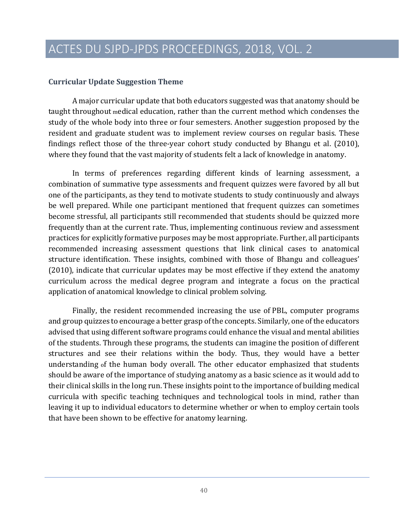#### **Curricular Update Suggestion Theme**

A major curricular update that both educators suggested was that anatomy should be taught throughout medical education, rather than the current method which condenses the study of the whole body into three or four semesters. Another suggestion proposed by the resident and graduate student was to implement review courses on regular basis. These findings reflect those of the three-year cohort study conducted by Bhangu et al. (2010), where they found that the vast majority of students felt a lack of knowledge in anatomy.

In terms of preferences regarding different kinds of learning assessment, a combination of summative type assessments and frequent quizzes were favored by all but one of the participants, as they tend to motivate students to study continuously and always be well prepared. While one participant mentioned that frequent quizzes can sometimes become stressful, all participants still recommended that students should be quizzed more frequently than at the current rate. Thus, implementing continuous review and assessment practices for explicitly formative purposes may be most appropriate. Further, all participants recommended increasing assessment questions that link clinical cases to anatomical structure identification. These insights, combined with those of Bhangu and colleagues'  $(2010)$ , indicate that curricular updates may be most effective if they extend the anatomy curriculum across the medical degree program and integrate a focus on the practical application of anatomical knowledge to clinical problem solving.

Finally, the resident recommended increasing the use of PBL, computer programs and group quizzes to encourage a better grasp of the concepts. Similarly, one of the educators advised that using different software programs could enhance the visual and mental abilities of the students. Through these programs, the students can imagine the position of different structures and see their relations within the body. Thus, they would have a better understanding of the human body overall. The other educator emphasized that students should be aware of the importance of studying anatomy as a basic science as it would add to their clinical skills in the long run. These insights point to the importance of building medical curricula with specific teaching techniques and technological tools in mind, rather than leaving it up to individual educators to determine whether or when to employ certain tools that have been shown to be effective for anatomy learning.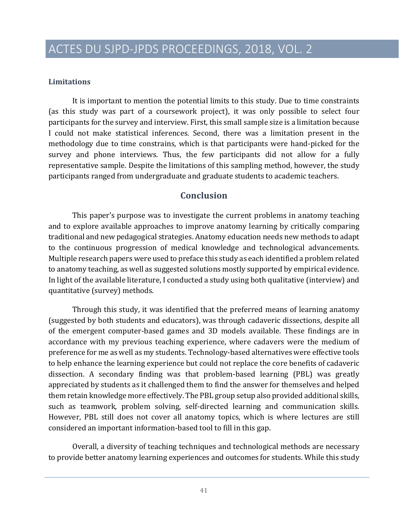#### **Limitations**

It is important to mention the potential limits to this study. Due to time constraints (as this study was part of a coursework project), it was only possible to select four participants for the survey and interview. First, this small sample size is a limitation because I could not make statistical inferences. Second, there was a limitation present in the methodology due to time constrains, which is that participants were hand-picked for the survey and phone interviews. Thus, the few participants did not allow for a fully representative sample. Despite the limitations of this sampling method, however, the study participants ranged from undergraduate and graduate students to academic teachers.

### **Conclusion**

This paper's purpose was to investigate the current problems in anatomy teaching and to explore available approaches to improve anatomy learning by critically comparing traditional and new pedagogical strategies. Anatomy education needs new methods to adapt to the continuous progression of medical knowledge and technological advancements. Multiple research papers were used to preface this study as each identified a problem related to anatomy teaching, as well as suggested solutions mostly supported by empirical evidence. In light of the available literature, I conducted a study using both qualitative (interview) and quantitative (survey) methods.

Through this study, it was identified that the preferred means of learning anatomy (suggested by both students and educators), was through cadaveric dissections, despite all of the emergent computer-based games and 3D models available. These findings are in accordance with my previous teaching experience, where cadavers were the medium of preference for me as well as my students. Technology-based alternatives were effective tools to help enhance the learning experience but could not replace the core benefits of cadaveric dissection. A secondary finding was that problem-based learning (PBL) was greatly appreciated by students as it challenged them to find the answer for themselves and helped them retain knowledge more effectively. The PBL group setup also provided additional skills, such as teamwork, problem solving, self-directed learning and communication skills. However, PBL still does not cover all anatomy topics, which is where lectures are still considered an important information-based tool to fill in this gap.

Overall, a diversity of teaching techniques and technological methods are necessary to provide better anatomy learning experiences and outcomes for students. While this study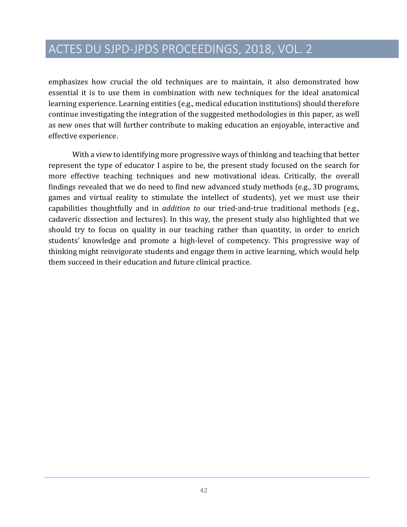emphasizes how crucial the old techniques are to maintain, it also demonstrated how essential it is to use them in combination with new techniques for the ideal anatomical learning experience. Learning entities (e.g., medical education institutions) should therefore continue investigating the integration of the suggested methodologies in this paper, as well as new ones that will further contribute to making education an enjoyable, interactive and effective experience.

With a view to identifying more progressive ways of thinking and teaching that better represent the type of educator I aspire to be, the present study focused on the search for more effective teaching techniques and new motivational ideas. Critically, the overall findings revealed that we do need to find new advanced study methods (e.g., 3D programs, games and virtual reality to stimulate the intellect of students), yet we must use their capabilities thoughtfully and in *addition to* our tried-and-true traditional methods (e.g., cadaveric dissection and lectures). In this way, the present study also highlighted that we should try to focus on quality in our teaching rather than quantity, in order to enrich students' knowledge and promote a high-level of competency. This progressive way of thinking might reinvigorate students and engage them in active learning, which would help them succeed in their education and future clinical practice.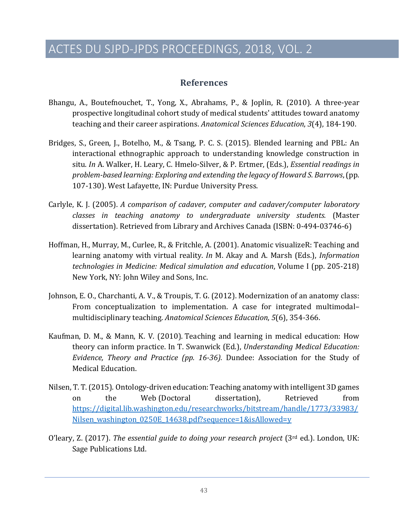### **References**

- Bhangu, A., Boutefnouchet, T., Yong, X., Abrahams, P., & Joplin, R. (2010). A three-year prospective longitudinal cohort study of medical students' attitudes toward anatomy teaching and their career aspirations. *Anatomical Sciences Education*, 3(4), 184-190.
- Bridges, S., Green, J., Botelho, M., & Tsang, P. C. S. (2015). Blended learning and PBL: An interactional ethnographic approach to understanding knowledge construction in situ. In A. Walker, H. Leary, C. Hmelo-Silver, & P. Ertmer, (Eds.), *Essential readings in problem-based learning: Exploring and extending the legacy of Howard S. Barrows,* (pp. 107-130). West Lafayette, IN: Purdue University Press.
- Carlyle, K. J. (2005). A comparison of cadaver, computer and cadaver/computer laboratory *classes in teaching anatomy to undergraduate university students.*  (Master dissertation). Retrieved from Library and Archives Canada (ISBN: 0-494-03746-6)
- Hoffman, H., Murray, M., Curlee, R., & Fritchle, A. (2001). Anatomic visualizeR: Teaching and learning anatomy with virtual reality. *In* M. Akay and A. Marsh (Eds.), *Information technologies in Medicine: Medical simulation and education*, Volume I (pp. 205-218) New York, NY: John Wiley and Sons, Inc.
- Johnson, E. O., Charchanti, A. V., & Troupis, T. G. (2012). Modernization of an anatomy class: From conceptualization to implementation. A case for integrated multimodalmultidisciplinary teaching. *Anatomical Sciences Education*, *5*(6), 354-366.
- Kaufman, D. M., & Mann, K. V. (2010). Teaching and learning in medical education: How theory can inform practice. In T. Swanwick (Ed.), *Understanding Medical Education: Evidence, Theory and Practice (pp. 16-36).* Dundee: Association for the Study of Medical Education.
- Nilsen, T. T. (2015). Ontology-driven education: Teaching anatomy with intelligent 3D games on the Web (Doctoral dissertation), Retrieved from https://digital.lib.washington.edu/researchworks/bitstream/handle/1773/33983/ Nilsen washington 0250E 14638.pdf?sequence=1&isAllowed=y
- O'leary, Z. (2017). *The essential guide to doing your research project* (3<sup>rd</sup> ed.). London, UK: Sage Publications Ltd.